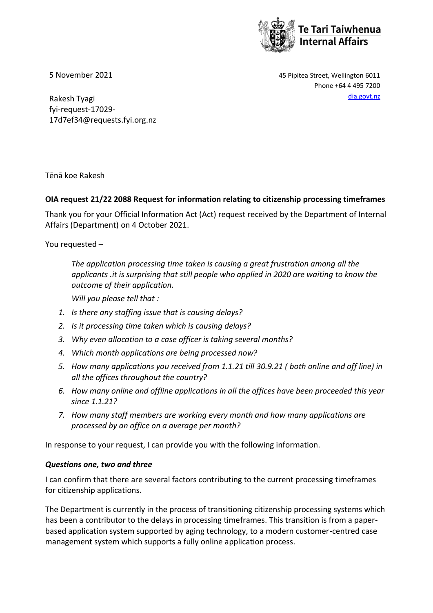

5 November 2021 45 Pipitea Street, Wellington 6011 Phone +64 4 495 7200

Rakesh Tyagi [dia.govt.nz](http://www.dia.govt.nz/) fyi-request-17029- 17d7ef34@requests.fyi.org.nz

Tēnā koe Rakesh

## **OIA request 21/22 2088 Request for information relating to citizenship processing timeframes**

Thank you for your Official Information Act (Act) request received by the Department of Internal Affairs (Department) on 4 October 2021.

You requested –

*The application processing time taken is causing a great frustration among all the applicants .it is surprising that still people who applied in 2020 are waiting to know the outcome of their application.*

*Will you please tell that :*

- *1. Is there any staffing issue that is causing delays?*
- *2. Is it processing time taken which is causing delays?*
- *3. Why even allocation to a case officer is taking several months?*
- *4. Which month applications are being processed now?*
- *5. How many applications you received from 1.1.21 till 30.9.21 ( both online and off line) in all the offices throughout the country?*
- *6. How many online and offline applications in all the offices have been proceeded this year since 1.1.21?*
- *7. How many staff members are working every month and how many applications are processed by an office on a average per month?*

In response to your request, I can provide you with the following information.

### *Questions one, two and three*

I can confirm that there are several factors contributing to the current processing timeframes for citizenship applications.

The Department is currently in the process of transitioning citizenship processing systems which has been a contributor to the delays in processing timeframes. This transition is from a paperbased application system supported by aging technology, to a modern customer-centred case management system which supports a fully online application process.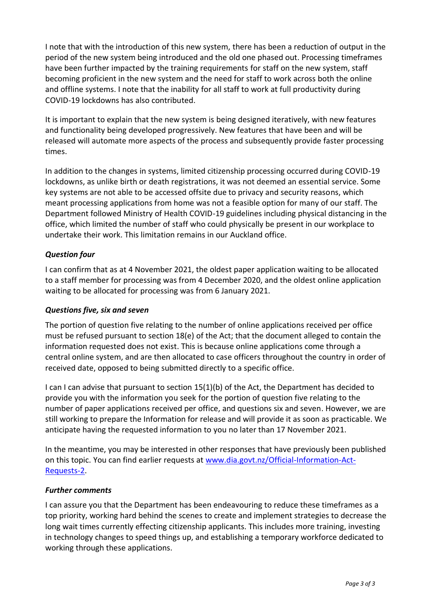I note that with the introduction of this new system, there has been a reduction of output in the period of the new system being introduced and the old one phased out. Processing timeframes have been further impacted by the training requirements for staff on the new system, staff becoming proficient in the new system and the need for staff to work across both the online and offline systems. I note that the inability for all staff to work at full productivity during COVID-19 lockdowns has also contributed.

It is important to explain that the new system is being designed iteratively, with new features and functionality being developed progressively. New features that have been and will be released will automate more aspects of the process and subsequently provide faster processing times.

In addition to the changes in systems, limited citizenship processing occurred during COVID-19 lockdowns, as unlike birth or death registrations, it was not deemed an essential service. Some key systems are not able to be accessed offsite due to privacy and security reasons, which meant processing applications from home was not a feasible option for many of our staff. The Department followed Ministry of Health COVID-19 guidelines including physical distancing in the office, which limited the number of staff who could physically be present in our workplace to undertake their work. This limitation remains in our Auckland office.

# *Question four*

I can confirm that as at 4 November 2021, the oldest paper application waiting to be allocated to a staff member for processing was from 4 December 2020, and the oldest online application waiting to be allocated for processing was from 6 January 2021.

### *Questions five, six and seven*

The portion of question five relating to the number of online applications received per office must be refused pursuant to section 18(e) of the Act; that the document alleged to contain the information requested does not exist. This is because online applications come through a central online system, and are then allocated to case officers throughout the country in order of received date, opposed to being submitted directly to a specific office.

I can I can advise that pursuant to section 15(1)(b) of the Act, the Department has decided to provide you with the information you seek for the portion of question five relating to the number of paper applications received per office, and questions six and seven. However, we are still working to prepare the Information for release and will provide it as soon as practicable. We anticipate having the requested information to you no later than 17 November 2021.

In the meantime, you may be interested in other responses that have previously been published on this topic. You can find earlier requests at [www.dia.govt.nz/Official-Information-Act-](http://www.dia.govt.nz/Official-Information-Act-Requests-2)[Requests-2.](http://www.dia.govt.nz/Official-Information-Act-Requests-2)

### *Further comments*

I can assure you that the Department has been endeavouring to reduce these timeframes as a top priority, working hard behind the scenes to create and implement strategies to decrease the long wait times currently effecting citizenship applicants. This includes more training, investing in technology changes to speed things up, and establishing a temporary workforce dedicated to working through these applications.